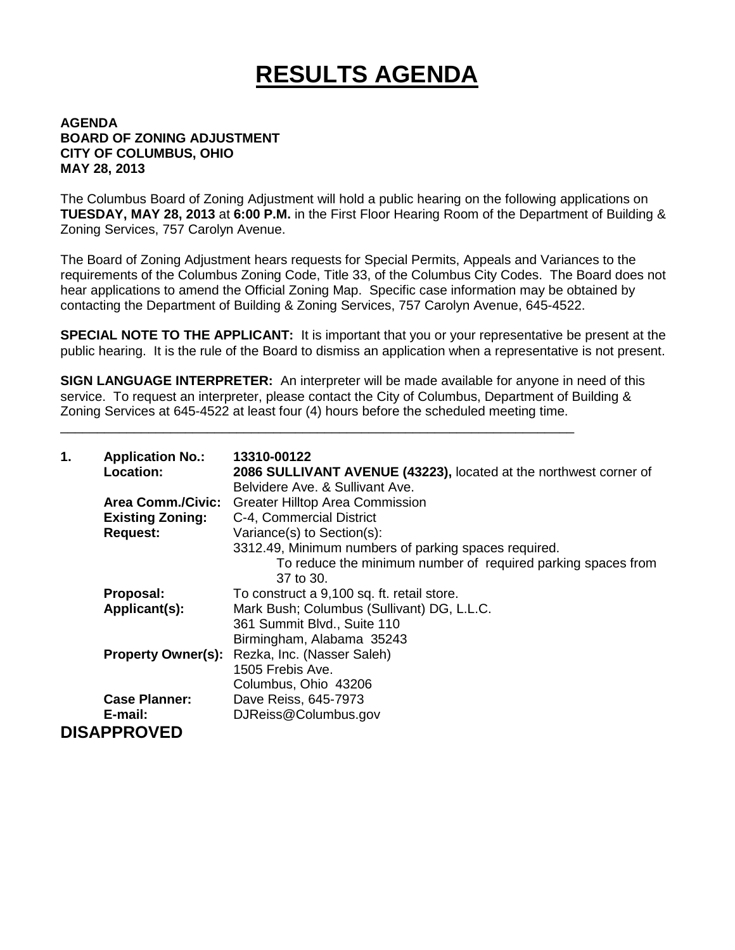## **RESULTS AGENDA**

## **AGENDA BOARD OF ZONING ADJUSTMENT CITY OF COLUMBUS, OHIO MAY 28, 2013**

The Columbus Board of Zoning Adjustment will hold a public hearing on the following applications on **TUESDAY, MAY 28, 2013** at **6:00 P.M.** in the First Floor Hearing Room of the Department of Building & Zoning Services, 757 Carolyn Avenue.

The Board of Zoning Adjustment hears requests for Special Permits, Appeals and Variances to the requirements of the Columbus Zoning Code, Title 33, of the Columbus City Codes. The Board does not hear applications to amend the Official Zoning Map. Specific case information may be obtained by contacting the Department of Building & Zoning Services, 757 Carolyn Avenue, 645-4522.

**SPECIAL NOTE TO THE APPLICANT:** It is important that you or your representative be present at the public hearing. It is the rule of the Board to dismiss an application when a representative is not present.

**SIGN LANGUAGE INTERPRETER:** An interpreter will be made available for anyone in need of this service. To request an interpreter, please contact the City of Columbus, Department of Building & Zoning Services at 645-4522 at least four (4) hours before the scheduled meeting time.

\_\_\_\_\_\_\_\_\_\_\_\_\_\_\_\_\_\_\_\_\_\_\_\_\_\_\_\_\_\_\_\_\_\_\_\_\_\_\_\_\_\_\_\_\_\_\_\_\_\_\_\_\_\_\_\_\_\_\_\_\_\_\_\_\_\_\_\_\_\_

| 1. | <b>Application No.:</b><br><b>Location:</b> | 13310-00122<br>2086 SULLIVANT AVENUE (43223), located at the northwest corner of<br>Belvidere Ave. & Sullivant Ave. |
|----|---------------------------------------------|---------------------------------------------------------------------------------------------------------------------|
|    | <b>Area Comm./Civic:</b>                    | <b>Greater Hilltop Area Commission</b>                                                                              |
|    | <b>Existing Zoning:</b>                     | C-4, Commercial District                                                                                            |
|    | <b>Request:</b>                             | Variance(s) to Section(s):<br>3312.49, Minimum numbers of parking spaces required.                                  |
|    |                                             | To reduce the minimum number of required parking spaces from<br>37 to 30.                                           |
|    | Proposal:                                   | To construct a 9,100 sq. ft. retail store.                                                                          |
|    | Applicant(s):                               | Mark Bush; Columbus (Sullivant) DG, L.L.C.                                                                          |
|    |                                             | 361 Summit Blvd., Suite 110                                                                                         |
|    |                                             | Birmingham, Alabama 35243                                                                                           |
|    | <b>Property Owner(s):</b>                   | Rezka, Inc. (Nasser Saleh)                                                                                          |
|    |                                             | 1505 Frebis Ave.                                                                                                    |
|    |                                             | Columbus, Ohio 43206                                                                                                |
|    | <b>Case Planner:</b>                        | Dave Reiss, 645-7973                                                                                                |
|    | E-mail:                                     | DJReiss@Columbus.gov                                                                                                |
|    | <b>DISAPPROVED</b>                          |                                                                                                                     |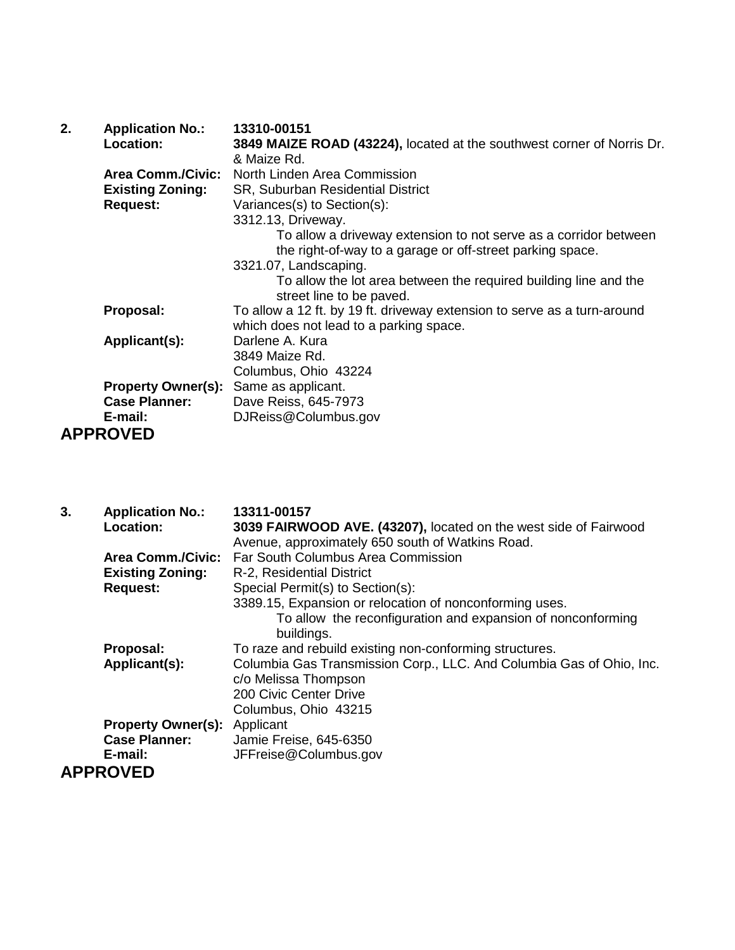| 2. | <b>Application No.:</b>   | 13310-00151                                                              |
|----|---------------------------|--------------------------------------------------------------------------|
|    | Location:                 | 3849 MAIZE ROAD (43224), located at the southwest corner of Norris Dr.   |
|    |                           | & Maize Rd.                                                              |
|    | <b>Area Comm./Civic:</b>  | North Linden Area Commission                                             |
|    | <b>Existing Zoning:</b>   | SR, Suburban Residential District                                        |
|    | <b>Request:</b>           | Variances(s) to Section(s):                                              |
|    |                           | 3312.13, Driveway.                                                       |
|    |                           | To allow a driveway extension to not serve as a corridor between         |
|    |                           | the right-of-way to a garage or off-street parking space.                |
|    |                           | 3321.07, Landscaping.                                                    |
|    |                           | To allow the lot area between the required building line and the         |
|    |                           | street line to be paved.                                                 |
|    | Proposal:                 | To allow a 12 ft. by 19 ft. driveway extension to serve as a turn-around |
|    |                           | which does not lead to a parking space.                                  |
|    | Applicant(s):             | Darlene A. Kura                                                          |
|    |                           | 3849 Maize Rd.                                                           |
|    |                           | Columbus, Ohio 43224                                                     |
|    | <b>Property Owner(s):</b> | Same as applicant.                                                       |
|    | <b>Case Planner:</b>      | Dave Reiss, 645-7973                                                     |
|    | E-mail:                   | DJReiss@Columbus.gov                                                     |
|    | <b>APPROVED</b>           |                                                                          |

| 3. | <b>Application No.:</b>   | 13311-00157                                                          |
|----|---------------------------|----------------------------------------------------------------------|
|    | <b>Location:</b>          | 3039 FAIRWOOD AVE. (43207), located on the west side of Fairwood     |
|    |                           | Avenue, approximately 650 south of Watkins Road.                     |
|    | <b>Area Comm./Civic:</b>  | Far South Columbus Area Commission                                   |
|    | <b>Existing Zoning:</b>   | R-2, Residential District                                            |
|    | <b>Request:</b>           | Special Permit(s) to Section(s):                                     |
|    |                           | 3389.15, Expansion or relocation of nonconforming uses.              |
|    |                           | To allow the reconfiguration and expansion of nonconforming          |
|    |                           | buildings.                                                           |
|    | Proposal:                 | To raze and rebuild existing non-conforming structures.              |
|    | Applicant(s):             | Columbia Gas Transmission Corp., LLC. And Columbia Gas of Ohio, Inc. |
|    |                           | c/o Melissa Thompson                                                 |
|    |                           | 200 Civic Center Drive                                               |
|    |                           | Columbus, Ohio 43215                                                 |
|    | <b>Property Owner(s):</b> | Applicant                                                            |
|    | <b>Case Planner:</b>      | Jamie Freise, 645-6350                                               |
|    | E-mail:                   | JFFreise@Columbus.gov                                                |
|    | <b>APPROVED</b>           |                                                                      |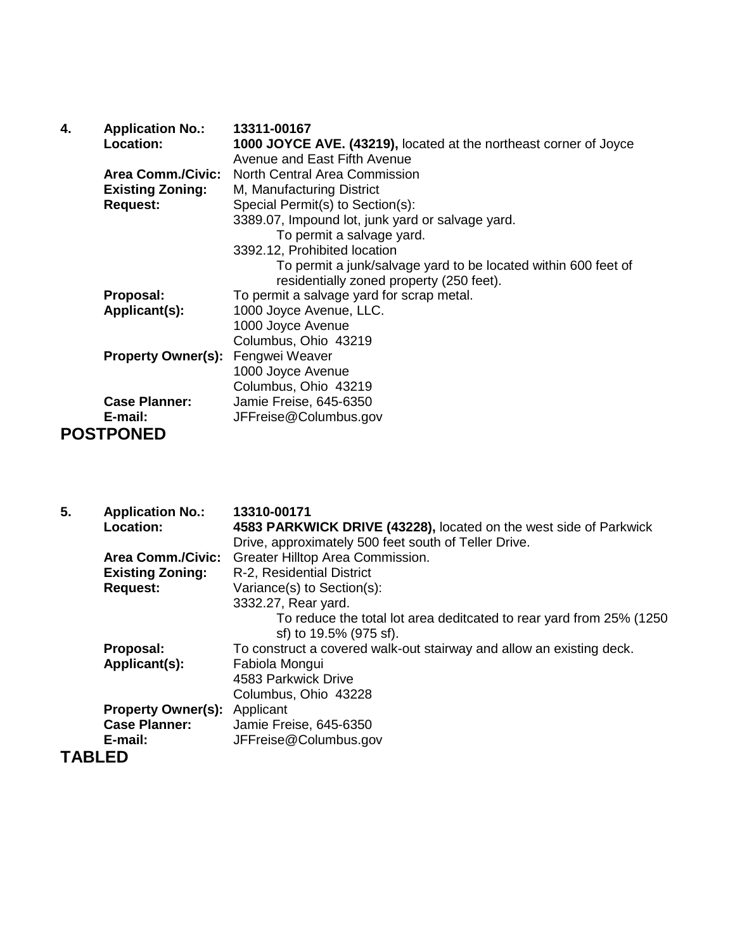| 4. | <b>Application No.:</b>   | 13311-00167                                                       |
|----|---------------------------|-------------------------------------------------------------------|
|    | Location:                 | 1000 JOYCE AVE. (43219), located at the northeast corner of Joyce |
|    |                           | Avenue and East Fifth Avenue                                      |
|    | <b>Area Comm./Civic:</b>  | North Central Area Commission                                     |
|    | <b>Existing Zoning:</b>   | M, Manufacturing District                                         |
|    | <b>Request:</b>           | Special Permit(s) to Section(s):                                  |
|    |                           | 3389.07, Impound lot, junk yard or salvage yard.                  |
|    |                           | To permit a salvage yard.                                         |
|    |                           | 3392.12, Prohibited location                                      |
|    |                           | To permit a junk/salvage yard to be located within 600 feet of    |
|    |                           | residentially zoned property (250 feet).                          |
|    | Proposal:                 | To permit a salvage yard for scrap metal.                         |
|    | Applicant(s):             | 1000 Joyce Avenue, LLC.                                           |
|    |                           | 1000 Joyce Avenue                                                 |
|    |                           | Columbus, Ohio 43219                                              |
|    | <b>Property Owner(s):</b> | Fengwei Weaver                                                    |
|    |                           | 1000 Joyce Avenue                                                 |
|    |                           | Columbus, Ohio 43219                                              |
|    | <b>Case Planner:</b>      | Jamie Freise, 645-6350                                            |
|    | E-mail:                   | JFFreise@Columbus.gov                                             |
|    | <b>POSTPONED</b>          |                                                                   |

| 5.            | <b>Application No.:</b>   | 13310-00171                                                          |
|---------------|---------------------------|----------------------------------------------------------------------|
|               | Location:                 | 4583 PARKWICK DRIVE (43228), located on the west side of Parkwick    |
|               |                           | Drive, approximately 500 feet south of Teller Drive.                 |
|               | <b>Area Comm./Civic:</b>  | Greater Hilltop Area Commission.                                     |
|               | <b>Existing Zoning:</b>   | R-2, Residential District                                            |
|               | <b>Request:</b>           | Variance(s) to Section(s):                                           |
|               |                           | 3332.27, Rear yard.                                                  |
|               |                           | To reduce the total lot area deditcated to rear yard from 25% (1250  |
|               |                           | sf) to 19.5% (975 sf).                                               |
|               | Proposal:                 | To construct a covered walk-out stairway and allow an existing deck. |
|               | Applicant(s):             | Fabiola Mongui                                                       |
|               |                           | 4583 Parkwick Drive                                                  |
|               |                           | Columbus, Ohio 43228                                                 |
|               | <b>Property Owner(s):</b> | Applicant                                                            |
|               | <b>Case Planner:</b>      | Jamie Freise, 645-6350                                               |
|               | E-mail:                   | JFFreise@Columbus.gov                                                |
| <b>TABLED</b> |                           |                                                                      |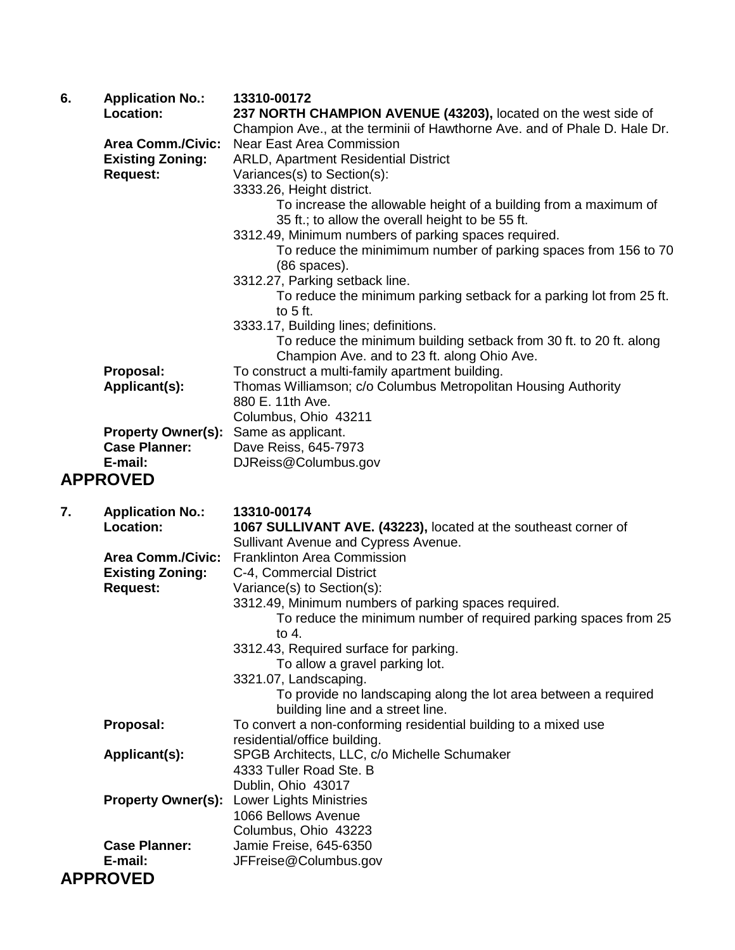| 6. | <b>Application No.:</b><br>Location:                                   | 13310-00172<br>237 NORTH CHAMPION AVENUE (43203), located on the west side of<br>Champion Ave., at the terminii of Hawthorne Ave. and of Phale D. Hale Dr.                                                                       |
|----|------------------------------------------------------------------------|----------------------------------------------------------------------------------------------------------------------------------------------------------------------------------------------------------------------------------|
|    | <b>Area Comm./Civic:</b><br><b>Existing Zoning:</b><br><b>Request:</b> | <b>Near East Area Commission</b><br><b>ARLD, Apartment Residential District</b><br>Variances(s) to Section(s):<br>3333.26, Height district.<br>To increase the allowable height of a building from a maximum of                  |
|    |                                                                        | 35 ft.; to allow the overall height to be 55 ft.<br>3312.49, Minimum numbers of parking spaces required.<br>To reduce the minimimum number of parking spaces from 156 to 70<br>$(86$ spaces).                                    |
|    |                                                                        | 3312.27, Parking setback line.<br>To reduce the minimum parking setback for a parking lot from 25 ft.<br>to $5$ ft.                                                                                                              |
|    |                                                                        | 3333.17, Building lines; definitions.<br>To reduce the minimum building setback from 30 ft. to 20 ft. along<br>Champion Ave. and to 23 ft. along Ohio Ave.                                                                       |
|    | Proposal:<br>Applicant(s):                                             | To construct a multi-family apartment building.<br>Thomas Williamson; c/o Columbus Metropolitan Housing Authority<br>880 E. 11th Ave.<br>Columbus, Ohio 43211                                                                    |
|    | <b>Property Owner(s):</b><br><b>Case Planner:</b><br>E-mail:           | Same as applicant.<br>Dave Reiss, 645-7973<br>DJReiss@Columbus.gov                                                                                                                                                               |
|    | <b>APPROVED</b>                                                        |                                                                                                                                                                                                                                  |
| 7. | <b>Application No.:</b><br>Location:                                   | 13310-00174<br>1067 SULLIVANT AVE. (43223), located at the southeast corner of<br>Sullivant Avenue and Cypress Avenue.                                                                                                           |
|    | <b>Area Comm./Civic:</b><br><b>Existing Zoning:</b><br><b>Request:</b> | <b>Franklinton Area Commission</b><br>C-4, Commercial District<br>Variance(s) to Section(s):<br>3312.49, Minimum numbers of parking spaces required.<br>To reduce the minimum number of required parking spaces from 25<br>to 4. |

to 4. 3312.43, Required surface for parking. To allow a gravel parking lot. 3321.07, Landscaping. To provide no landscaping along the lot area between a required building line and a street line. **Proposal:** To convert a non-conforming residential building to a mixed use residential/office building. **Applicant(s):** SPGB Architects, LLC, c/o Michelle Schumaker 4333 Tuller Road Ste. B Dublin, Ohio 43017

**Property Owner(s):** Lower Lights Ministries 1066 Bellows Avenue Columbus, Ohio 43223 **Case Planner:** Jamie Freise, 645-6350<br>**E-mail:** JFFreise@Columbus.go **E-mail:** JFFreise@Columbus.gov

## **APPROVED**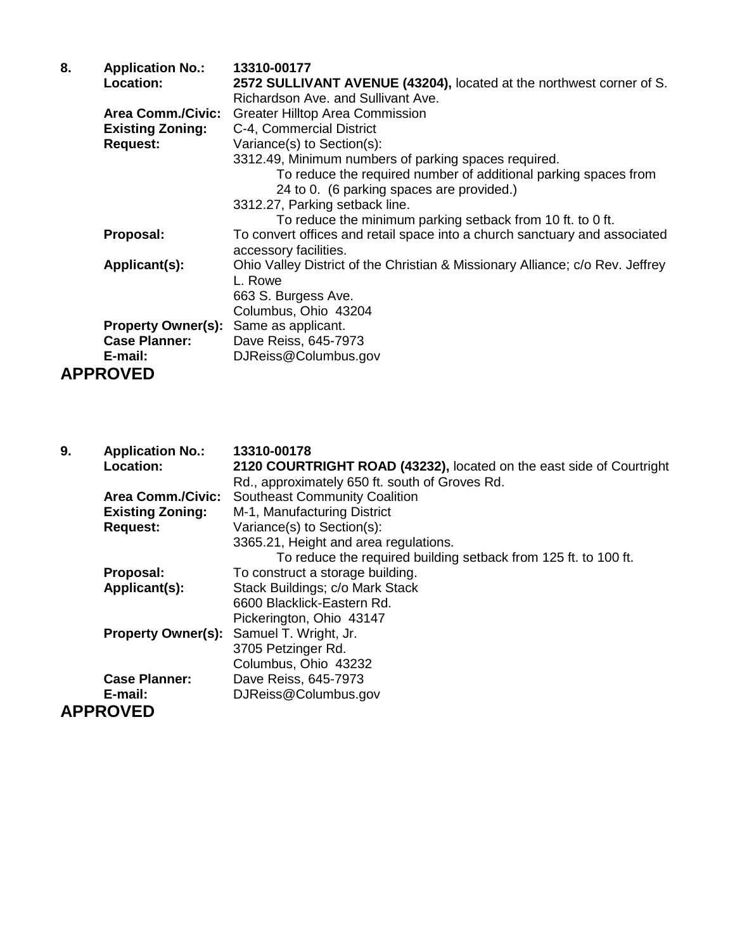| 8. | <b>Application No.:</b>   | 13310-00177                                                                   |
|----|---------------------------|-------------------------------------------------------------------------------|
|    | Location:                 | 2572 SULLIVANT AVENUE (43204), located at the northwest corner of S.          |
|    |                           | Richardson Ave. and Sullivant Ave.                                            |
|    | <b>Area Comm./Civic:</b>  | <b>Greater Hilltop Area Commission</b>                                        |
|    | <b>Existing Zoning:</b>   | C-4, Commercial District                                                      |
|    | <b>Request:</b>           | Variance(s) to Section(s):                                                    |
|    |                           | 3312.49, Minimum numbers of parking spaces required.                          |
|    |                           | To reduce the required number of additional parking spaces from               |
|    |                           | 24 to 0. (6 parking spaces are provided.)                                     |
|    |                           | 3312.27, Parking setback line.                                                |
|    |                           | To reduce the minimum parking setback from 10 ft. to 0 ft.                    |
|    | Proposal:                 | To convert offices and retail space into a church sanctuary and associated    |
|    |                           | accessory facilities.                                                         |
|    | Applicant(s):             | Ohio Valley District of the Christian & Missionary Alliance; c/o Rev. Jeffrey |
|    |                           | L. Rowe                                                                       |
|    |                           | 663 S. Burgess Ave.                                                           |
|    |                           | Columbus, Ohio 43204                                                          |
|    | <b>Property Owner(s):</b> | Same as applicant.                                                            |
|    | <b>Case Planner:</b>      | Dave Reiss, 645-7973                                                          |
|    | E-mail:                   | DJReiss@Columbus.gov                                                          |
|    | <b>APPROVED</b>           |                                                                               |

| 9. | <b>Application No.:</b>   | 13310-00178                                                          |
|----|---------------------------|----------------------------------------------------------------------|
|    | Location:                 | 2120 COURTRIGHT ROAD (43232), located on the east side of Courtright |
|    |                           | Rd., approximately 650 ft. south of Groves Rd.                       |
|    | <b>Area Comm./Civic:</b>  | <b>Southeast Community Coalition</b>                                 |
|    | <b>Existing Zoning:</b>   | M-1, Manufacturing District                                          |
|    | <b>Request:</b>           | Variance(s) to Section(s):                                           |
|    |                           | 3365.21, Height and area regulations.                                |
|    |                           | To reduce the required building setback from 125 ft. to 100 ft.      |
|    | Proposal:                 | To construct a storage building.                                     |
|    | Applicant(s):             | Stack Buildings; c/o Mark Stack                                      |
|    |                           | 6600 Blacklick-Eastern Rd.                                           |
|    |                           | Pickerington, Ohio 43147                                             |
|    | <b>Property Owner(s):</b> | Samuel T. Wright, Jr.                                                |
|    |                           | 3705 Petzinger Rd.                                                   |
|    |                           | Columbus, Ohio 43232                                                 |
|    | <b>Case Planner:</b>      | Dave Reiss, 645-7973                                                 |
|    | E-mail:                   | DJReiss@Columbus.gov                                                 |
|    | <b>APPROVED</b>           |                                                                      |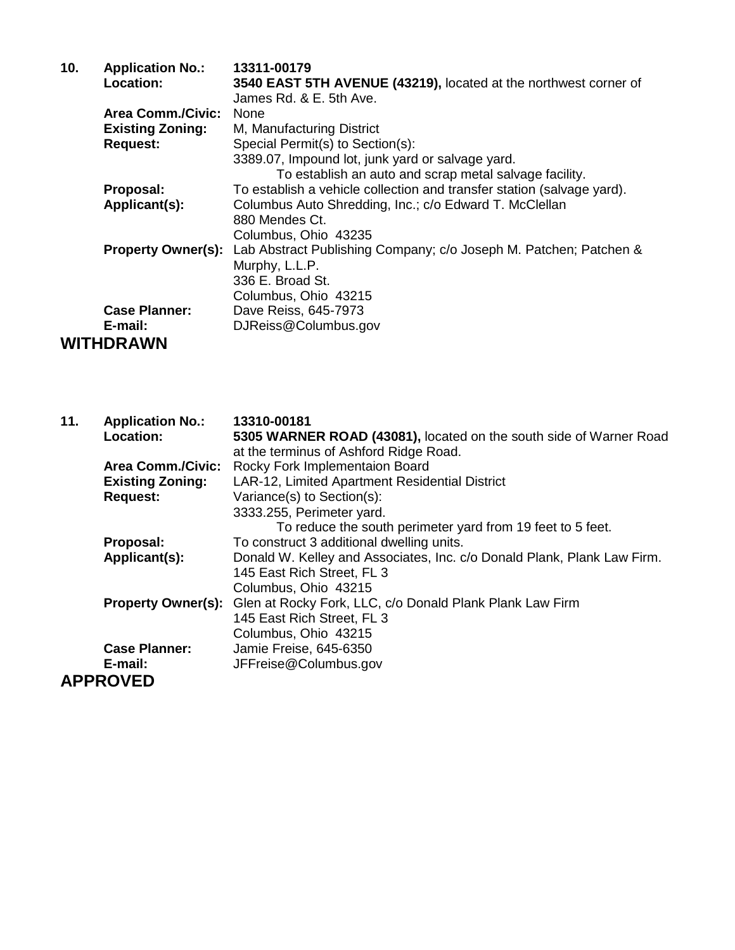| 10. | <b>Application No.:</b>   | 13311-00179                                                            |
|-----|---------------------------|------------------------------------------------------------------------|
|     | Location:                 | 3540 EAST 5TH AVENUE (43219), located at the northwest corner of       |
|     |                           | James Rd. & E. 5th Ave.                                                |
|     | <b>Area Comm./Civic:</b>  | <b>None</b>                                                            |
|     | <b>Existing Zoning:</b>   | M, Manufacturing District                                              |
|     | <b>Request:</b>           | Special Permit(s) to Section(s):                                       |
|     |                           | 3389.07, Impound lot, junk yard or salvage yard.                       |
|     |                           | To establish an auto and scrap metal salvage facility.                 |
|     | Proposal:                 | To establish a vehicle collection and transfer station (salvage yard). |
|     | Applicant(s):             | Columbus Auto Shredding, Inc.; c/o Edward T. McClellan                 |
|     |                           | 880 Mendes Ct.                                                         |
|     |                           | Columbus, Ohio 43235                                                   |
|     | <b>Property Owner(s):</b> | Lab Abstract Publishing Company; c/o Joseph M. Patchen; Patchen &      |
|     |                           | Murphy, L.L.P.                                                         |
|     |                           | 336 E. Broad St.                                                       |
|     |                           | Columbus, Ohio 43215                                                   |
|     | <b>Case Planner:</b>      | Dave Reiss, 645-7973                                                   |
|     | E-mail:                   | DJReiss@Columbus.gov                                                   |
|     | <b>WITHDRAWN</b>          |                                                                        |

| 11. | <b>Application No.:</b>   | 13310-00181                                                             |
|-----|---------------------------|-------------------------------------------------------------------------|
|     | Location:                 | 5305 WARNER ROAD (43081), located on the south side of Warner Road      |
|     |                           | at the terminus of Ashford Ridge Road.                                  |
|     | <b>Area Comm./Civic:</b>  | Rocky Fork Implementaion Board                                          |
|     | <b>Existing Zoning:</b>   | LAR-12, Limited Apartment Residential District                          |
|     | <b>Request:</b>           | Variance(s) to Section(s):                                              |
|     |                           | 3333.255, Perimeter yard.                                               |
|     |                           | To reduce the south perimeter yard from 19 feet to 5 feet.              |
|     | Proposal:                 | To construct 3 additional dwelling units.                               |
|     | Applicant(s):             | Donald W. Kelley and Associates, Inc. c/o Donald Plank, Plank Law Firm. |
|     |                           | 145 East Rich Street, FL 3                                              |
|     |                           | Columbus, Ohio 43215                                                    |
|     | <b>Property Owner(s):</b> | Glen at Rocky Fork, LLC, c/o Donald Plank Plank Law Firm                |
|     |                           | 145 East Rich Street, FL 3                                              |
|     |                           | Columbus, Ohio 43215                                                    |
|     | <b>Case Planner:</b>      | Jamie Freise, 645-6350                                                  |
|     | E-mail:                   | JFFreise@Columbus.gov                                                   |
|     | <b>APPROVED</b>           |                                                                         |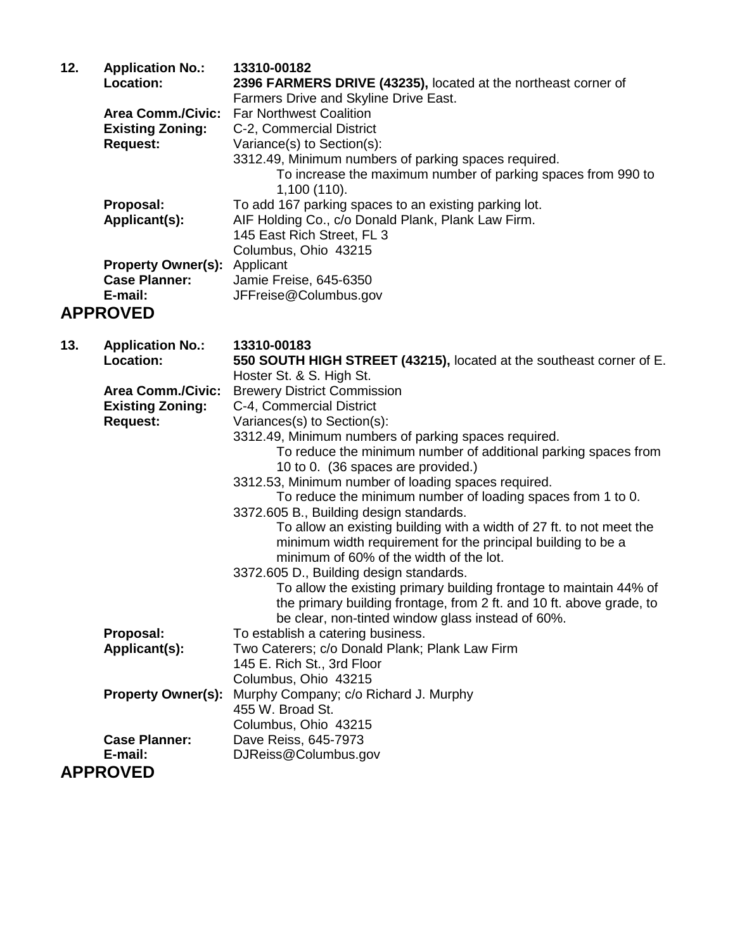| 12. | <b>Application No.:</b>   | 13310-00182                                                    |
|-----|---------------------------|----------------------------------------------------------------|
|     | Location:                 | 2396 FARMERS DRIVE (43235), located at the northeast corner of |
|     |                           | Farmers Drive and Skyline Drive East.                          |
|     | <b>Area Comm./Civic:</b>  | <b>Far Northwest Coalition</b>                                 |
|     | <b>Existing Zoning:</b>   | C-2, Commercial District                                       |
|     | <b>Request:</b>           | Variance(s) to Section(s):                                     |
|     |                           | 3312.49, Minimum numbers of parking spaces required.           |
|     |                           | To increase the maximum number of parking spaces from 990 to   |
|     |                           | 1,100(110).                                                    |
|     | Proposal:                 | To add 167 parking spaces to an existing parking lot.          |
|     | Applicant(s):             | AIF Holding Co., c/o Donald Plank, Plank Law Firm.             |
|     |                           | 145 East Rich Street, FL 3                                     |
|     |                           | Columbus, Ohio 43215                                           |
|     | <b>Property Owner(s):</b> | Applicant                                                      |
|     | <b>Case Planner:</b>      | Jamie Freise, 645-6350                                         |
|     | E-mail:                   | JFFreise@Columbus.gov                                          |
|     | <b>APPROVED</b>           |                                                                |

| 13. | <b>Application No.:</b>   | 13310-00183                                                          |
|-----|---------------------------|----------------------------------------------------------------------|
|     | <b>Location:</b>          | 550 SOUTH HIGH STREET (43215), located at the southeast corner of E. |
|     |                           | Hoster St. & S. High St.                                             |
|     | <b>Area Comm./Civic:</b>  | <b>Brewery District Commission</b>                                   |
|     | <b>Existing Zoning:</b>   | C-4, Commercial District                                             |
|     | <b>Request:</b>           | Variances(s) to Section(s):                                          |
|     |                           | 3312.49, Minimum numbers of parking spaces required.                 |
|     |                           | To reduce the minimum number of additional parking spaces from       |
|     |                           | 10 to 0. (36 spaces are provided.)                                   |
|     |                           | 3312.53, Minimum number of loading spaces required.                  |
|     |                           | To reduce the minimum number of loading spaces from 1 to 0.          |
|     |                           | 3372.605 B., Building design standards.                              |
|     |                           | To allow an existing building with a width of 27 ft. to not meet the |
|     |                           | minimum width requirement for the principal building to be a         |
|     |                           | minimum of 60% of the width of the lot.                              |
|     |                           | 3372.605 D., Building design standards.                              |
|     |                           | To allow the existing primary building frontage to maintain 44% of   |
|     |                           | the primary building frontage, from 2 ft. and 10 ft. above grade, to |
|     |                           | be clear, non-tinted window glass instead of 60%.                    |
|     | Proposal:                 | To establish a catering business.                                    |
|     | Applicant(s):             | Two Caterers; c/o Donald Plank; Plank Law Firm                       |
|     |                           | 145 E. Rich St., 3rd Floor                                           |
|     |                           | Columbus, Ohio 43215                                                 |
|     | <b>Property Owner(s):</b> | Murphy Company; c/o Richard J. Murphy                                |
|     |                           | 455 W. Broad St.                                                     |
|     |                           | Columbus, Ohio 43215                                                 |
|     | <b>Case Planner:</b>      | Dave Reiss, 645-7973                                                 |
|     | E-mail:                   | DJReiss@Columbus.gov                                                 |
|     | <b>APPROVED</b>           |                                                                      |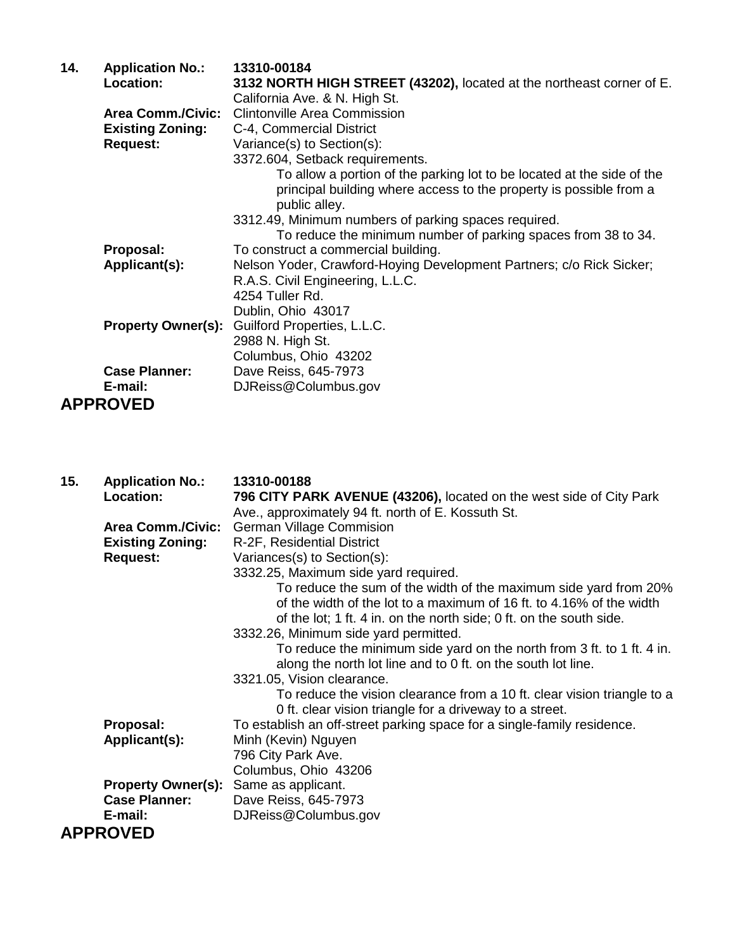| 14. | <b>Application No.:</b>   | 13310-00184                                                                                                                                                   |
|-----|---------------------------|---------------------------------------------------------------------------------------------------------------------------------------------------------------|
|     | Location:                 | 3132 NORTH HIGH STREET (43202), located at the northeast corner of E.                                                                                         |
|     |                           | California Ave. & N. High St.                                                                                                                                 |
|     | <b>Area Comm./Civic:</b>  | <b>Clintonville Area Commission</b>                                                                                                                           |
|     | <b>Existing Zoning:</b>   | C-4, Commercial District                                                                                                                                      |
|     | <b>Request:</b>           | Variance(s) to Section(s):                                                                                                                                    |
|     |                           | 3372.604, Setback requirements.                                                                                                                               |
|     |                           | To allow a portion of the parking lot to be located at the side of the<br>principal building where access to the property is possible from a<br>public alley. |
|     |                           | 3312.49, Minimum numbers of parking spaces required.                                                                                                          |
|     |                           | To reduce the minimum number of parking spaces from 38 to 34.                                                                                                 |
|     | Proposal:                 | To construct a commercial building.                                                                                                                           |
|     | Applicant(s):             | Nelson Yoder, Crawford-Hoying Development Partners; c/o Rick Sicker;                                                                                          |
|     |                           | R.A.S. Civil Engineering, L.L.C.                                                                                                                              |
|     |                           | 4254 Tuller Rd.                                                                                                                                               |
|     |                           | Dublin, Ohio 43017                                                                                                                                            |
|     | <b>Property Owner(s):</b> | Guilford Properties, L.L.C.                                                                                                                                   |
|     |                           | 2988 N. High St.                                                                                                                                              |
|     |                           | Columbus, Ohio 43202                                                                                                                                          |
|     | <b>Case Planner:</b>      | Dave Reiss, 645-7973                                                                                                                                          |
|     | E-mail:                   | DJReiss@Columbus.gov                                                                                                                                          |
|     | <b>APPROVED</b>           |                                                                                                                                                               |

| 15. | <b>Application No.:</b><br>Location:                                   | 13310-00188<br>796 CITY PARK AVENUE (43206), located on the west side of City Park                                                                                                                                                                                                                                                 |
|-----|------------------------------------------------------------------------|------------------------------------------------------------------------------------------------------------------------------------------------------------------------------------------------------------------------------------------------------------------------------------------------------------------------------------|
|     | <b>Area Comm./Civic:</b><br><b>Existing Zoning:</b><br><b>Request:</b> | Ave., approximately 94 ft. north of E. Kossuth St.<br><b>German Village Commision</b><br>R-2F, Residential District<br>Variances(s) to Section(s):<br>3332.25, Maximum side yard required.                                                                                                                                         |
|     |                                                                        | To reduce the sum of the width of the maximum side yard from 20%<br>of the width of the lot to a maximum of 16 ft, to 4.16% of the width<br>of the lot; 1 ft. 4 in. on the north side; 0 ft. on the south side.<br>3332.26, Minimum side yard permitted.<br>To reduce the minimum side yard on the north from 3 ft. to 1 ft. 4 in. |
|     |                                                                        | along the north lot line and to 0 ft. on the south lot line.<br>3321.05, Vision clearance.<br>To reduce the vision clearance from a 10 ft. clear vision triangle to a<br>0 ft. clear vision triangle for a driveway to a street.                                                                                                   |
|     | Proposal:<br>Applicant(s):                                             | To establish an off-street parking space for a single-family residence.<br>Minh (Kevin) Nguyen<br>796 City Park Ave.<br>Columbus, Ohio 43206                                                                                                                                                                                       |
|     | <b>Property Owner(s):</b><br><b>Case Planner:</b><br>E-mail:           | Same as applicant.<br>Dave Reiss, 645-7973<br>DJReiss@Columbus.gov                                                                                                                                                                                                                                                                 |
|     | <b>APPROVED</b>                                                        |                                                                                                                                                                                                                                                                                                                                    |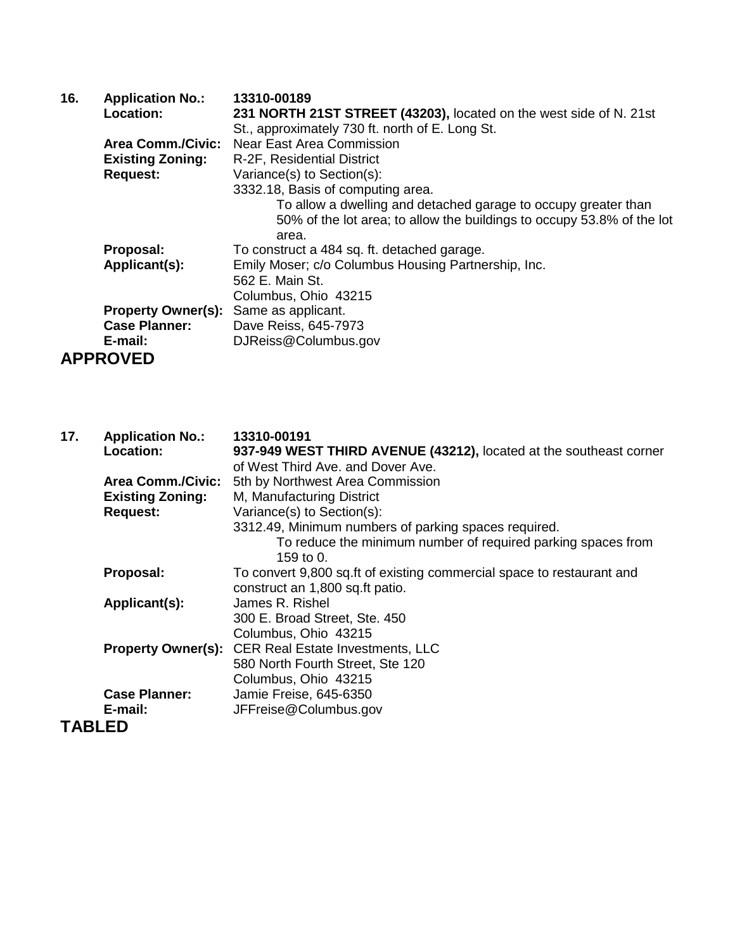| 16. | <b>Application No.:</b>   | 13310-00189                                                            |
|-----|---------------------------|------------------------------------------------------------------------|
|     | <b>Location:</b>          | 231 NORTH 21ST STREET (43203), located on the west side of N. 21st     |
|     |                           | St., approximately 730 ft. north of E. Long St.                        |
|     | <b>Area Comm./Civic:</b>  | Near East Area Commission                                              |
|     | <b>Existing Zoning:</b>   | R-2F, Residential District                                             |
|     | <b>Request:</b>           | Variance(s) to Section(s):                                             |
|     |                           | 3332.18, Basis of computing area.                                      |
|     |                           | To allow a dwelling and detached garage to occupy greater than         |
|     |                           | 50% of the lot area; to allow the buildings to occupy 53.8% of the lot |
|     |                           | area.                                                                  |
|     | Proposal:                 | To construct a 484 sq. ft. detached garage.                            |
|     | Applicant(s):             | Emily Moser; c/o Columbus Housing Partnership, Inc.                    |
|     |                           | 562 E. Main St.                                                        |
|     |                           | Columbus, Ohio 43215                                                   |
|     | <b>Property Owner(s):</b> | Same as applicant.                                                     |
|     | <b>Case Planner:</b>      | Dave Reiss, 645-7973                                                   |
|     | E-mail:                   | DJReiss@Columbus.gov                                                   |
|     | <b>APPROVED</b>           |                                                                        |

| 17.           | <b>Application No.:</b>  | 13310-00191                                                                 |
|---------------|--------------------------|-----------------------------------------------------------------------------|
|               | Location:                | 937-949 WEST THIRD AVENUE (43212), located at the southeast corner          |
|               |                          | of West Third Ave, and Dover Ave.                                           |
|               | <b>Area Comm./Civic:</b> | 5th by Northwest Area Commission                                            |
|               | <b>Existing Zoning:</b>  | M, Manufacturing District                                                   |
|               | <b>Request:</b>          | Variance(s) to Section(s):                                                  |
|               |                          | 3312.49, Minimum numbers of parking spaces required.                        |
|               |                          | To reduce the minimum number of required parking spaces from<br>159 to $0.$ |
|               | Proposal:                | To convert 9,800 sq.ft of existing commercial space to restaurant and       |
|               |                          | construct an 1,800 sq.ft patio.                                             |
|               | Applicant(s):            | James R. Rishel                                                             |
|               |                          | 300 E. Broad Street, Ste. 450                                               |
|               |                          | Columbus, Ohio 43215                                                        |
|               |                          | <b>Property Owner(s):</b> CER Real Estate Investments, LLC                  |
|               |                          | 580 North Fourth Street, Ste 120                                            |
|               |                          | Columbus, Ohio 43215                                                        |
|               | <b>Case Planner:</b>     | Jamie Freise, 645-6350                                                      |
|               | E-mail:                  | JFFreise@Columbus.gov                                                       |
| <b>TABLED</b> |                          |                                                                             |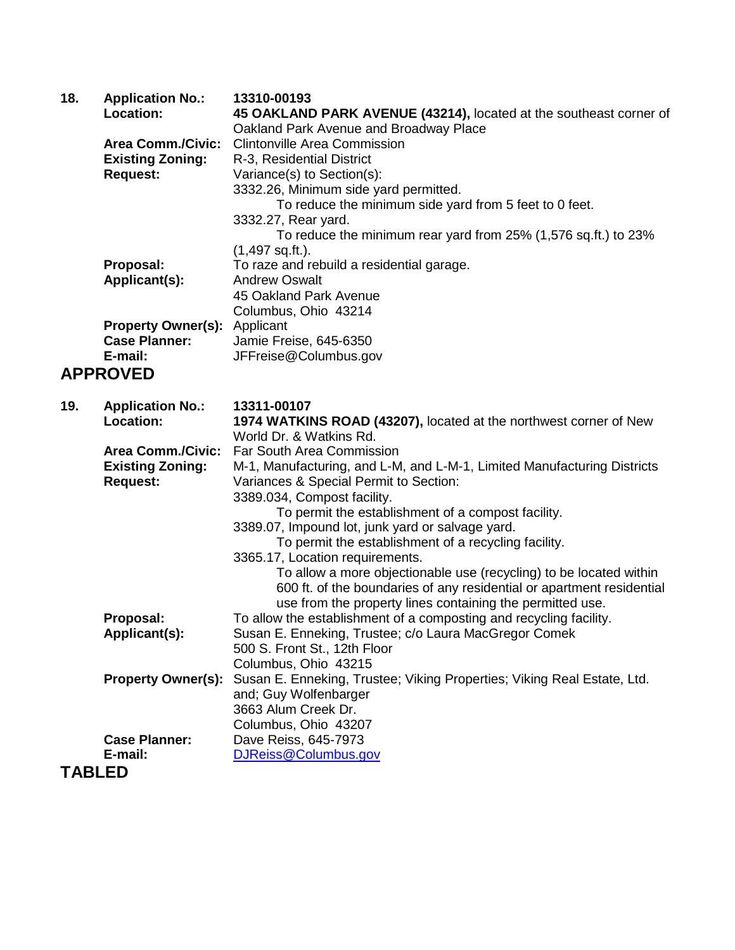| 18.           | <b>Application No.:</b><br><b>Location:</b> | 13310-00193<br>45 OAKLAND PARK AVENUE (43214), located at the southeast corner of<br>Oakland Park Avenue and Broadway Place |
|---------------|---------------------------------------------|-----------------------------------------------------------------------------------------------------------------------------|
|               | <b>Area Comm./Civic:</b>                    | <b>Clintonville Area Commission</b>                                                                                         |
|               | <b>Existing Zoning:</b>                     | R-3, Residential District                                                                                                   |
|               | <b>Request:</b>                             | Variance(s) to Section(s):                                                                                                  |
|               |                                             | 3332.26, Minimum side yard permitted.                                                                                       |
|               |                                             | To reduce the minimum side yard from 5 feet to 0 feet.                                                                      |
|               |                                             | 3332.27, Rear yard.                                                                                                         |
|               |                                             | To reduce the minimum rear yard from 25% (1,576 sq.ft.) to 23%                                                              |
|               |                                             | $(1,497$ sq.ft.).                                                                                                           |
|               | Proposal:                                   | To raze and rebuild a residential garage.                                                                                   |
|               | Applicant(s):                               | <b>Andrew Oswalt</b>                                                                                                        |
|               |                                             | 45 Oakland Park Avenue                                                                                                      |
|               |                                             | Columbus, Ohio 43214                                                                                                        |
|               | <b>Property Owner(s):</b>                   | Applicant                                                                                                                   |
|               | <b>Case Planner:</b>                        | Jamie Freise, 645-6350                                                                                                      |
|               | E-mail:                                     | JFFreise@Columbus.gov                                                                                                       |
|               | <b>APPROVED</b>                             |                                                                                                                             |
| 19.           | <b>Application No.:</b>                     | 13311-00107                                                                                                                 |
|               | Location:                                   | 1974 WATKINS ROAD (43207), located at the northwest corner of New                                                           |
|               |                                             | World Dr. & Watkins Rd.                                                                                                     |
|               | <b>Area Comm./Civic:</b>                    | Far South Area Commission                                                                                                   |
|               | <b>Existing Zoning:</b>                     | M-1, Manufacturing, and L-M, and L-M-1, Limited Manufacturing Districts                                                     |
|               | <b>Request:</b>                             | Variances & Special Permit to Section:<br>3389.034, Compost facility.                                                       |
|               |                                             | To permit the establishment of a compost facility.                                                                          |
|               |                                             | 3389.07, Impound lot, junk yard or salvage yard.                                                                            |
|               |                                             | To permit the establishment of a recycling facility.                                                                        |
|               |                                             | 3365.17, Location requirements.                                                                                             |
|               |                                             | To allow a more objectionable use (recycling) to be located within                                                          |
|               |                                             | 600 ft. of the boundaries of any residential or apartment residential                                                       |
|               |                                             | use from the property lines containing the permitted use.                                                                   |
|               | Proposal:                                   | To allow the establishment of a composting and recycling facility.                                                          |
|               | Applicant(s):                               | Susan E. Enneking, Trustee; c/o Laura MacGregor Comek                                                                       |
|               |                                             | 500 S. Front St., 12th Floor                                                                                                |
|               |                                             | Columbus, Ohio 43215                                                                                                        |
|               | <b>Property Owner(s):</b>                   | Susan E. Enneking, Trustee; Viking Properties; Viking Real Estate, Ltd.                                                     |
|               |                                             | and; Guy Wolfenbarger                                                                                                       |
|               |                                             | 3663 Alum Creek Dr.                                                                                                         |
|               |                                             | Columbus, Ohio 43207                                                                                                        |
|               | <b>Case Planner:</b>                        | Dave Reiss, 645-7973                                                                                                        |
|               | E-mail:                                     | DJReiss@Columbus.gov                                                                                                        |
| <b>TABLED</b> |                                             |                                                                                                                             |